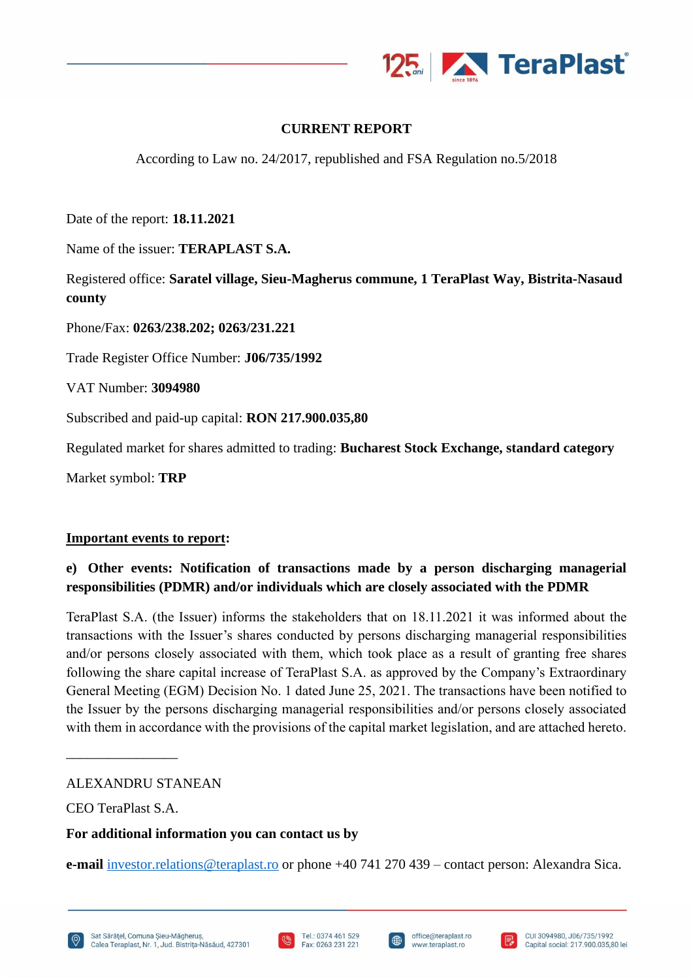

# **CURRENT REPORT**

According to Law no. 24/2017, republished and FSA Regulation no.5/2018

Date of the report: **18.11.2021**

Name of the issuer: **TERAPLAST S.A.**

Registered office: **Saratel village, Sieu-Magherus commune, 1 TeraPlast Way, Bistrita-Nasaud county**

Phone/Fax: **0263/238.202; 0263/231.221**

Trade Register Office Number: **J06/735/1992**

VAT Number: **3094980**

Subscribed and paid-up capital: **RON 217.900.035,80**

Regulated market for shares admitted to trading: **Bucharest Stock Exchange, standard category**

Market symbol: **TRP**

### **Important events to report:**

# **e) Other events: Notification of transactions made by a person discharging managerial responsibilities (PDMR) and/or individuals which are closely associated with the PDMR**

TeraPlast S.A. (the Issuer) informs the stakeholders that on 18.11.2021 it was informed about the transactions with the Issuer's shares conducted by persons discharging managerial responsibilities and/or persons closely associated with them, which took place as a result of granting free shares following the share capital increase of TeraPlast S.A. as approved by the Company's Extraordinary General Meeting (EGM) Decision No. 1 dated June 25, 2021. The transactions have been notified to the Issuer by the persons discharging managerial responsibilities and/or persons closely associated with them in accordance with the provisions of the capital market legislation, and are attached hereto.

ALEXANDRU STANEAN

CEO TeraPlast S.A.

\_\_\_\_\_\_\_\_\_\_\_\_\_\_\_\_

### **For additional information you can contact us by**

**e-mail** [investor.relations@teraplast.ro](mailto:investor.relations@teraplast.ro) or phone +40 741 270 439 – contact person: Alexandra Sica.





I⊕

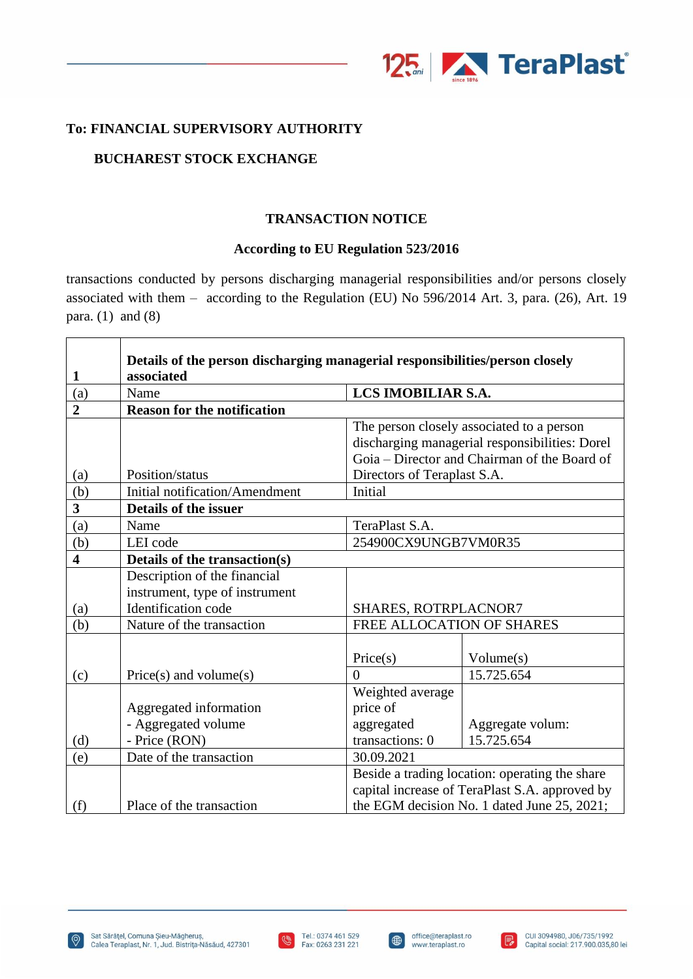

## **To: FINANCIAL SUPERVISORY AUTHORITY**

## **BUCHAREST STOCK EXCHANGE**

### **TRANSACTION NOTICE**

### **According to EU Regulation 523/2016**

transactions conducted by persons discharging managerial responsibilities and/or persons closely associated with them – according to the Regulation (EU) No 596/2014 Art. 3, para. (26), Art. 19 para.  $(1)$  and  $(8)$ 

|                         | Details of the person discharging managerial responsibilities/person closely |                                                                                                  |                                             |  |  |
|-------------------------|------------------------------------------------------------------------------|--------------------------------------------------------------------------------------------------|---------------------------------------------|--|--|
| 1                       | associated                                                                   |                                                                                                  |                                             |  |  |
| (a)                     | Name                                                                         | LCS IMOBILIAR S.A.                                                                               |                                             |  |  |
| $\overline{2}$          | <b>Reason for the notification</b>                                           |                                                                                                  |                                             |  |  |
|                         |                                                                              | The person closely associated to a person                                                        |                                             |  |  |
|                         |                                                                              | discharging managerial responsibilities: Dorel                                                   |                                             |  |  |
|                         |                                                                              | Goia – Director and Chairman of the Board of                                                     |                                             |  |  |
| (a)                     | Position/status                                                              | Directors of Teraplast S.A.                                                                      |                                             |  |  |
| (b)                     | Initial notification/Amendment                                               | Initial                                                                                          |                                             |  |  |
| $\overline{\mathbf{3}}$ | Details of the issuer                                                        |                                                                                                  |                                             |  |  |
| (a)                     | Name                                                                         | TeraPlast S.A.                                                                                   |                                             |  |  |
| (b)                     | LEI code                                                                     | 254900CX9UNGB7VM0R35                                                                             |                                             |  |  |
| $\overline{\mathbf{4}}$ | Details of the transaction(s)                                                |                                                                                                  |                                             |  |  |
|                         | Description of the financial                                                 |                                                                                                  |                                             |  |  |
|                         | instrument, type of instrument                                               |                                                                                                  |                                             |  |  |
| (a)                     | Identification code                                                          | SHARES, ROTRPLACNOR7                                                                             |                                             |  |  |
| (b)                     | Nature of the transaction                                                    |                                                                                                  | FREE ALLOCATION OF SHARES                   |  |  |
|                         |                                                                              |                                                                                                  |                                             |  |  |
|                         |                                                                              | Price(s)                                                                                         | Volume(s)                                   |  |  |
| (c)                     | $Price(s)$ and volume $(s)$                                                  | $\Omega$                                                                                         | 15.725.654                                  |  |  |
|                         |                                                                              | Weighted average                                                                                 |                                             |  |  |
|                         | Aggregated information                                                       | price of                                                                                         |                                             |  |  |
|                         | - Aggregated volume                                                          | aggregated                                                                                       | Aggregate volum:                            |  |  |
| (d)                     | - Price (RON)                                                                | transactions: 0                                                                                  | 15.725.654                                  |  |  |
| (e)                     | Date of the transaction                                                      | 30.09.2021                                                                                       |                                             |  |  |
|                         |                                                                              | Beside a trading location: operating the share<br>capital increase of TeraPlast S.A. approved by |                                             |  |  |
|                         |                                                                              |                                                                                                  |                                             |  |  |
| (f)                     | Place of the transaction                                                     |                                                                                                  | the EGM decision No. 1 dated June 25, 2021; |  |  |



 $\bigoplus$